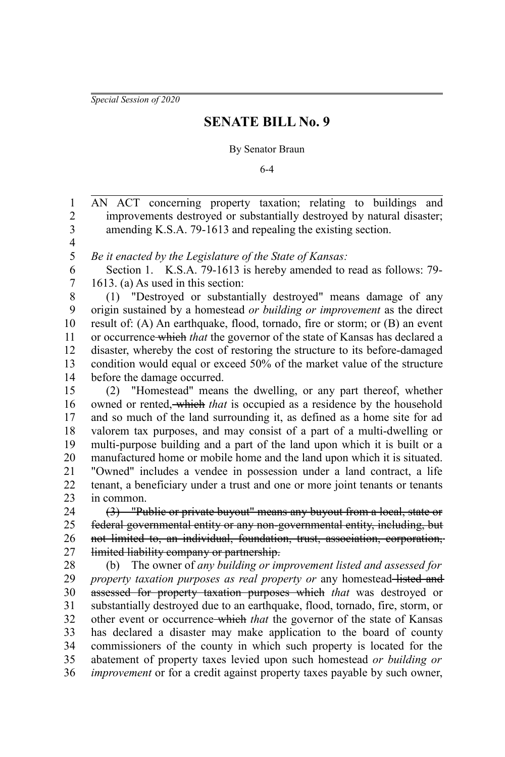*Special Session of 2020*

## **SENATE BILL No. 9**

## By Senator Braun

6-4

AN ACT concerning property taxation; relating to buildings and improvements destroyed or substantially destroyed by natural disaster; amending K.S.A. 79-1613 and repealing the existing section. 1 2 3

4 5

*Be it enacted by the Legislature of the State of Kansas:*

Section 1. K.S.A. 79-1613 is hereby amended to read as follows: 79- 1613. (a) As used in this section: 6 7

(1) "Destroyed or substantially destroyed" means damage of any origin sustained by a homestead *or building or improvement* as the direct result of: (A) An earthquake, flood, tornado, fire or storm; or (B) an event or occurrence which *that* the governor of the state of Kansas has declared a disaster, whereby the cost of restoring the structure to its before-damaged condition would equal or exceed 50% of the market value of the structure before the damage occurred. 8 9 10 11 12 13 14

(2) "Homestead" means the dwelling, or any part thereof, whether owned or rented, which *that* is occupied as a residence by the household and so much of the land surrounding it, as defined as a home site for ad valorem tax purposes, and may consist of a part of a multi-dwelling or multi-purpose building and a part of the land upon which it is built or a manufactured home or mobile home and the land upon which it is situated. "Owned" includes a vendee in possession under a land contract, a life tenant, a beneficiary under a trust and one or more joint tenants or tenants in common. 15 16 17 18 19 20 21 22 23

(3) "Public or private buyout" means any buyout from a local, state or federal governmental entity or any non-governmental entity, including, but not limited to, an individual, foundation, trust, association, corporation, limited liability company or partnership. 24 25 26 27

(b) The owner of *any building or improvement listed and assessed for property taxation purposes as real property or* any homestead-listed and assessed for property taxation purposes which *that* was destroyed or substantially destroyed due to an earthquake, flood, tornado, fire, storm, or other event or occurrence which *that* the governor of the state of Kansas has declared a disaster may make application to the board of county commissioners of the county in which such property is located for the abatement of property taxes levied upon such homestead *or building or improvement* or for a credit against property taxes payable by such owner, 28 29 30 31 32 33 34 35 36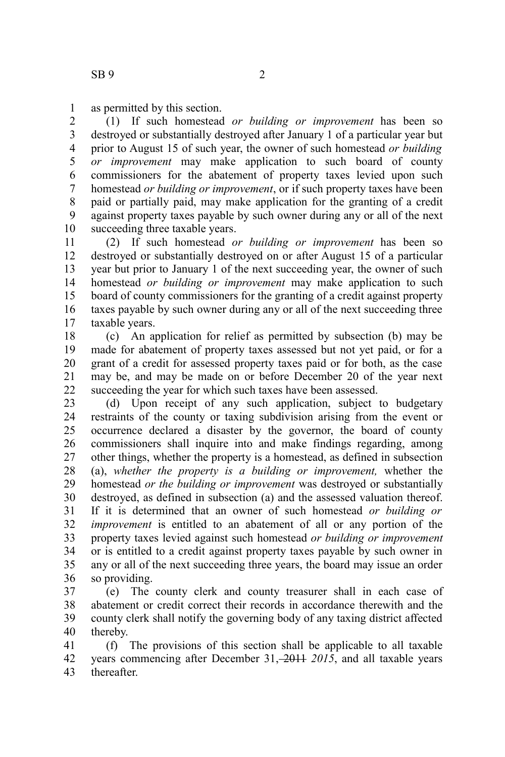as permitted by this section. 1

(1) If such homestead *or building or improvement* has been so destroyed or substantially destroyed after January 1 of a particular year but prior to August 15 of such year, the owner of such homestead *or building or improvement* may make application to such board of county commissioners for the abatement of property taxes levied upon such homestead *or building or improvement*, or if such property taxes have been paid or partially paid, may make application for the granting of a credit against property taxes payable by such owner during any or all of the next succeeding three taxable years. 2 3 4 5 6 7 8 9 10

(2) If such homestead *or building or improvement* has been so destroyed or substantially destroyed on or after August 15 of a particular year but prior to January 1 of the next succeeding year, the owner of such homestead *or building or improvement* may make application to such board of county commissioners for the granting of a credit against property taxes payable by such owner during any or all of the next succeeding three taxable years. 11 12 13 14 15 16 17

(c) An application for relief as permitted by subsection (b) may be made for abatement of property taxes assessed but not yet paid, or for a grant of a credit for assessed property taxes paid or for both, as the case may be, and may be made on or before December 20 of the year next succeeding the year for which such taxes have been assessed. 18 19 20 21 22

(d) Upon receipt of any such application, subject to budgetary restraints of the county or taxing subdivision arising from the event or occurrence declared a disaster by the governor, the board of county commissioners shall inquire into and make findings regarding, among other things, whether the property is a homestead, as defined in subsection (a), *whether the property is a building or improvement,* whether the homestead *or the building or improvement* was destroyed or substantially destroyed, as defined in subsection (a) and the assessed valuation thereof. If it is determined that an owner of such homestead *or building or improvement* is entitled to an abatement of all or any portion of the property taxes levied against such homestead *or building or improvement* or is entitled to a credit against property taxes payable by such owner in any or all of the next succeeding three years, the board may issue an order so providing. 23 24 25 26 27 28 29 30 31 32 33 34 35 36

(e) The county clerk and county treasurer shall in each case of abatement or credit correct their records in accordance therewith and the county clerk shall notify the governing body of any taxing district affected thereby. 37 38 39 40

(f) The provisions of this section shall be applicable to all taxable years commencing after December 31, 2014 2015, and all taxable years thereafter. 41 42 43